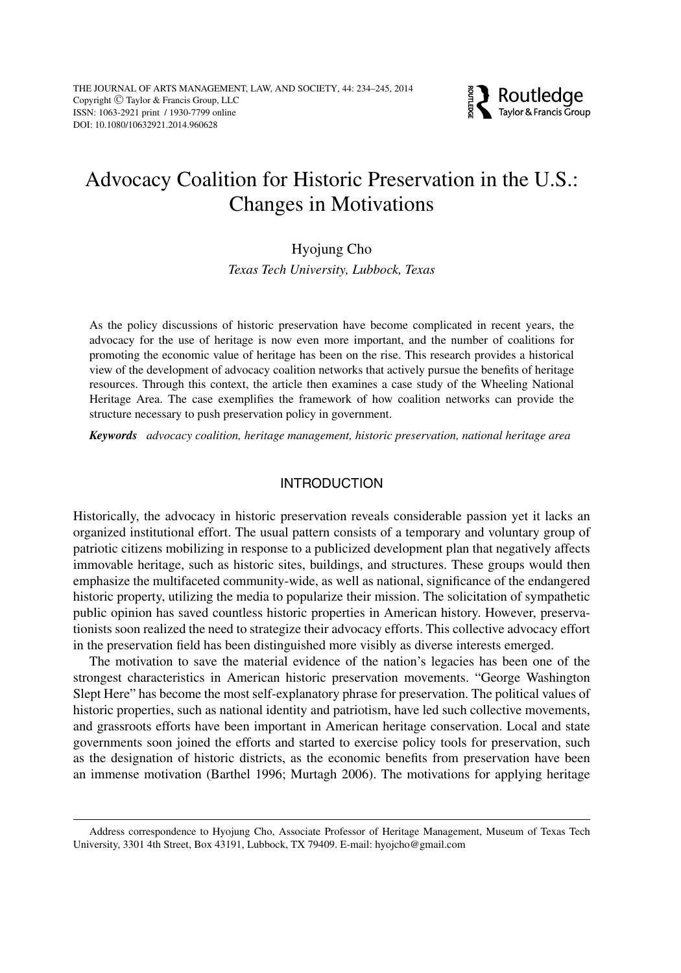

# Advocacy Coalition for Historic Preservation in the U.S.: Changes in Motivations

# Hyojung Cho

*Texas Tech University, Lubbock, Texas*

As the policy discussions of historic preservation have become complicated in recent years, the advocacy for the use of heritage is now even more important, and the number of coalitions for promoting the economic value of heritage has been on the rise. This research provides a historical view of the development of advocacy coalition networks that actively pursue the benefits of heritage resources. Through this context, the article then examines a case study of the Wheeling National Heritage Area. The case exemplifies the framework of how coalition networks can provide the structure necessary to push preservation policy in government.

*Keywords advocacy coalition, heritage management, historic preservation, national heritage area*

## INTRODUCTION

Historically, the advocacy in historic preservation reveals considerable passion yet it lacks an organized institutional effort. The usual pattern consists of a temporary and voluntary group of patriotic citizens mobilizing in response to a publicized development plan that negatively affects immovable heritage, such as historic sites, buildings, and structures. These groups would then emphasize the multifaceted community-wide, as well as national, significance of the endangered historic property, utilizing the media to popularize their mission. The solicitation of sympathetic public opinion has saved countless historic properties in American history. However, preservationists soon realized the need to strategize their advocacy efforts. This collective advocacy effort in the preservation field has been distinguished more visibly as diverse interests emerged.

The motivation to save the material evidence of the nation's legacies has been one of the strongest characteristics in American historic preservation movements. "George Washington Slept Here" has become the most self-explanatory phrase for preservation. The political values of historic properties, such as national identity and patriotism, have led such collective movements, and grassroots efforts have been important in American heritage conservation. Local and state governments soon joined the efforts and started to exercise policy tools for preservation, such as the designation of historic districts, as the economic benefits from preservation have been an immense motivation (Barthel 1996; Murtagh 2006). The motivations for applying heritage

Address correspondence to Hyojung Cho, Associate Professor of Heritage Management, Museum of Texas Tech University, 3301 4th Street, Box 43191, Lubbock, TX 79409. E-mail: hyojcho@gmail.com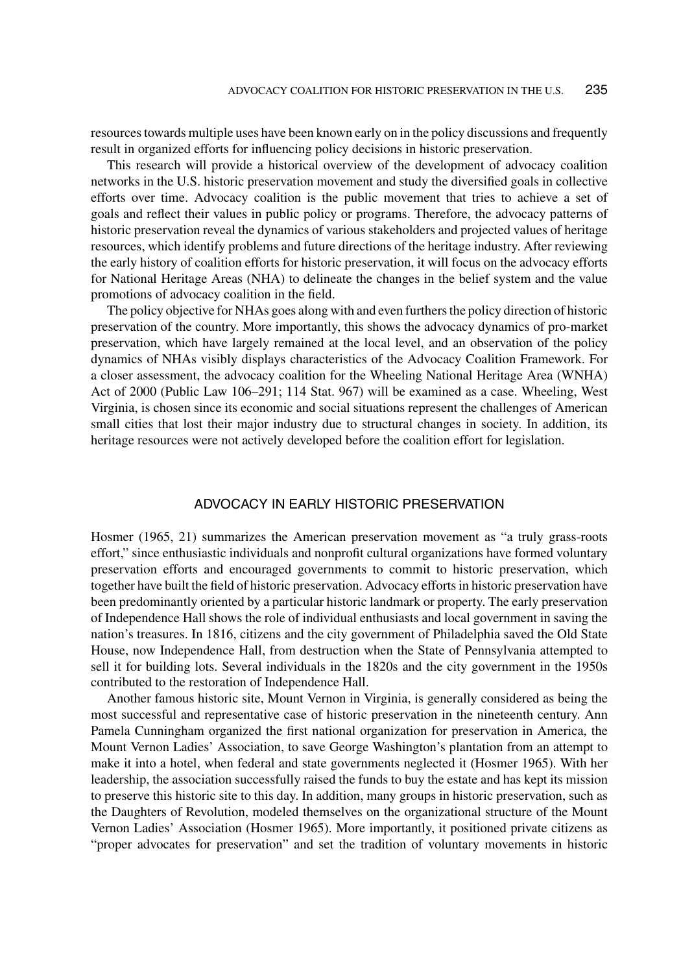resources towards multiple uses have been known early on in the policy discussions and frequently result in organized efforts for influencing policy decisions in historic preservation.

This research will provide a historical overview of the development of advocacy coalition networks in the U.S. historic preservation movement and study the diversified goals in collective efforts over time. Advocacy coalition is the public movement that tries to achieve a set of goals and reflect their values in public policy or programs. Therefore, the advocacy patterns of historic preservation reveal the dynamics of various stakeholders and projected values of heritage resources, which identify problems and future directions of the heritage industry. After reviewing the early history of coalition efforts for historic preservation, it will focus on the advocacy efforts for National Heritage Areas (NHA) to delineate the changes in the belief system and the value promotions of advocacy coalition in the field.

The policy objective for NHAs goes along with and even furthers the policy direction of historic preservation of the country. More importantly, this shows the advocacy dynamics of pro-market preservation, which have largely remained at the local level, and an observation of the policy dynamics of NHAs visibly displays characteristics of the Advocacy Coalition Framework. For a closer assessment, the advocacy coalition for the Wheeling National Heritage Area (WNHA) Act of 2000 (Public Law 106–291; 114 Stat. 967) will be examined as a case. Wheeling, West Virginia, is chosen since its economic and social situations represent the challenges of American small cities that lost their major industry due to structural changes in society. In addition, its heritage resources were not actively developed before the coalition effort for legislation.

#### ADVOCACY IN EARLY HISTORIC PRESERVATION

Hosmer (1965, 21) summarizes the American preservation movement as "a truly grass-roots effort," since enthusiastic individuals and nonprofit cultural organizations have formed voluntary preservation efforts and encouraged governments to commit to historic preservation, which together have built the field of historic preservation. Advocacy efforts in historic preservation have been predominantly oriented by a particular historic landmark or property. The early preservation of Independence Hall shows the role of individual enthusiasts and local government in saving the nation's treasures. In 1816, citizens and the city government of Philadelphia saved the Old State House, now Independence Hall, from destruction when the State of Pennsylvania attempted to sell it for building lots. Several individuals in the 1820s and the city government in the 1950s contributed to the restoration of Independence Hall.

Another famous historic site, Mount Vernon in Virginia, is generally considered as being the most successful and representative case of historic preservation in the nineteenth century. Ann Pamela Cunningham organized the first national organization for preservation in America, the Mount Vernon Ladies' Association, to save George Washington's plantation from an attempt to make it into a hotel, when federal and state governments neglected it (Hosmer 1965). With her leadership, the association successfully raised the funds to buy the estate and has kept its mission to preserve this historic site to this day. In addition, many groups in historic preservation, such as the Daughters of Revolution, modeled themselves on the organizational structure of the Mount Vernon Ladies' Association (Hosmer 1965). More importantly, it positioned private citizens as "proper advocates for preservation" and set the tradition of voluntary movements in historic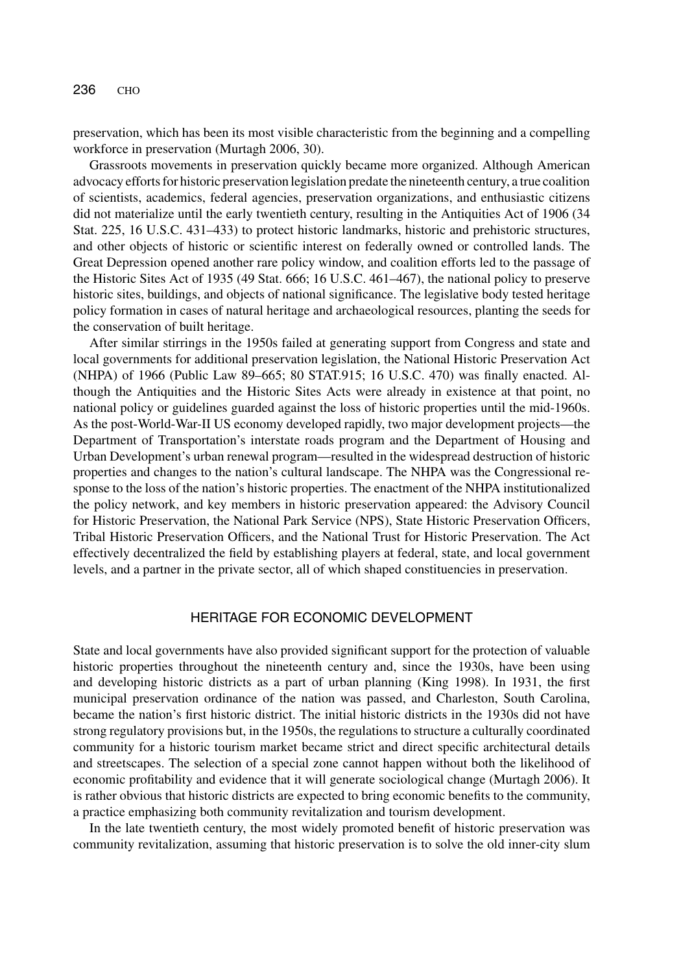preservation, which has been its most visible characteristic from the beginning and a compelling workforce in preservation (Murtagh 2006, 30).

Grassroots movements in preservation quickly became more organized. Although American advocacy efforts for historic preservation legislation predate the nineteenth century, a true coalition of scientists, academics, federal agencies, preservation organizations, and enthusiastic citizens did not materialize until the early twentieth century, resulting in the Antiquities Act of 1906 (34 Stat. 225, 16 U.S.C. 431–433) to protect historic landmarks, historic and prehistoric structures, and other objects of historic or scientific interest on federally owned or controlled lands. The Great Depression opened another rare policy window, and coalition efforts led to the passage of the Historic Sites Act of 1935 (49 Stat. 666; 16 U.S.C. 461–467), the national policy to preserve historic sites, buildings, and objects of national significance. The legislative body tested heritage policy formation in cases of natural heritage and archaeological resources, planting the seeds for the conservation of built heritage.

After similar stirrings in the 1950s failed at generating support from Congress and state and local governments for additional preservation legislation, the National Historic Preservation Act (NHPA) of 1966 (Public Law 89–665; 80 STAT.915; 16 U.S.C. 470) was finally enacted. Although the Antiquities and the Historic Sites Acts were already in existence at that point, no national policy or guidelines guarded against the loss of historic properties until the mid-1960s. As the post-World-War-II US economy developed rapidly, two major development projects—the Department of Transportation's interstate roads program and the Department of Housing and Urban Development's urban renewal program—resulted in the widespread destruction of historic properties and changes to the nation's cultural landscape. The NHPA was the Congressional response to the loss of the nation's historic properties. The enactment of the NHPA institutionalized the policy network, and key members in historic preservation appeared: the Advisory Council for Historic Preservation, the National Park Service (NPS), State Historic Preservation Officers, Tribal Historic Preservation Officers, and the National Trust for Historic Preservation. The Act effectively decentralized the field by establishing players at federal, state, and local government levels, and a partner in the private sector, all of which shaped constituencies in preservation.

# HERITAGE FOR ECONOMIC DEVELOPMENT

State and local governments have also provided significant support for the protection of valuable historic properties throughout the nineteenth century and, since the 1930s, have been using and developing historic districts as a part of urban planning (King 1998). In 1931, the first municipal preservation ordinance of the nation was passed, and Charleston, South Carolina, became the nation's first historic district. The initial historic districts in the 1930s did not have strong regulatory provisions but, in the 1950s, the regulations to structure a culturally coordinated community for a historic tourism market became strict and direct specific architectural details and streetscapes. The selection of a special zone cannot happen without both the likelihood of economic profitability and evidence that it will generate sociological change (Murtagh 2006). It is rather obvious that historic districts are expected to bring economic benefits to the community, a practice emphasizing both community revitalization and tourism development.

In the late twentieth century, the most widely promoted benefit of historic preservation was community revitalization, assuming that historic preservation is to solve the old inner-city slum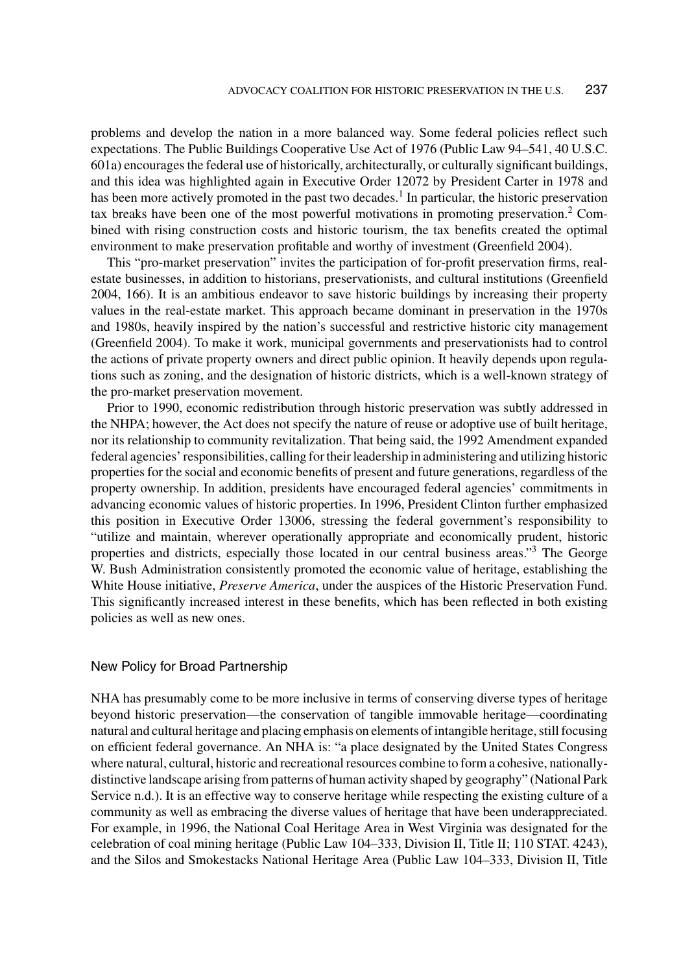problems and develop the nation in a more balanced way. Some federal policies reflect such expectations. The Public Buildings Cooperative Use Act of 1976 (Public Law 94–541, 40 U.S.C. 601a) encourages the federal use of historically, architecturally, or culturally significant buildings, and this idea was highlighted again in Executive Order 12072 by President Carter in 1978 and has been more actively promoted in the past two decades.<sup>1</sup> In particular, the historic preservation tax breaks have been one of the most powerful motivations in promoting preservation.<sup>2</sup> Combined with rising construction costs and historic tourism, the tax benefits created the optimal environment to make preservation profitable and worthy of investment (Greenfield 2004).

This "pro-market preservation" invites the participation of for-profit preservation firms, realestate businesses, in addition to historians, preservationists, and cultural institutions (Greenfield 2004, 166). It is an ambitious endeavor to save historic buildings by increasing their property values in the real-estate market. This approach became dominant in preservation in the 1970s and 1980s, heavily inspired by the nation's successful and restrictive historic city management (Greenfield 2004). To make it work, municipal governments and preservationists had to control the actions of private property owners and direct public opinion. It heavily depends upon regulations such as zoning, and the designation of historic districts, which is a well-known strategy of the pro-market preservation movement.

Prior to 1990, economic redistribution through historic preservation was subtly addressed in the NHPA; however, the Act does not specify the nature of reuse or adoptive use of built heritage, nor its relationship to community revitalization. That being said, the 1992 Amendment expanded federal agencies' responsibilities, calling for their leadership in administering and utilizing historic properties for the social and economic benefits of present and future generations, regardless of the property ownership. In addition, presidents have encouraged federal agencies' commitments in advancing economic values of historic properties. In 1996, President Clinton further emphasized this position in Executive Order 13006, stressing the federal government's responsibility to "utilize and maintain, wherever operationally appropriate and economically prudent, historic properties and districts, especially those located in our central business areas."3 The George W. Bush Administration consistently promoted the economic value of heritage, establishing the White House initiative, *Preserve America*, under the auspices of the Historic Preservation Fund. This significantly increased interest in these benefits, which has been reflected in both existing policies as well as new ones.

#### New Policy for Broad Partnership

NHA has presumably come to be more inclusive in terms of conserving diverse types of heritage beyond historic preservation—the conservation of tangible immovable heritage—coordinating natural and cultural heritage and placing emphasis on elements of intangible heritage, still focusing on efficient federal governance. An NHA is: "a place designated by the United States Congress where natural, cultural, historic and recreational resources combine to form a cohesive, nationallydistinctive landscape arising from patterns of human activity shaped by geography" (National Park Service n.d.). It is an effective way to conserve heritage while respecting the existing culture of a community as well as embracing the diverse values of heritage that have been underappreciated. For example, in 1996, the National Coal Heritage Area in West Virginia was designated for the celebration of coal mining heritage (Public Law 104–333, Division II, Title II; 110 STAT. 4243), and the Silos and Smokestacks National Heritage Area (Public Law 104–333, Division II, Title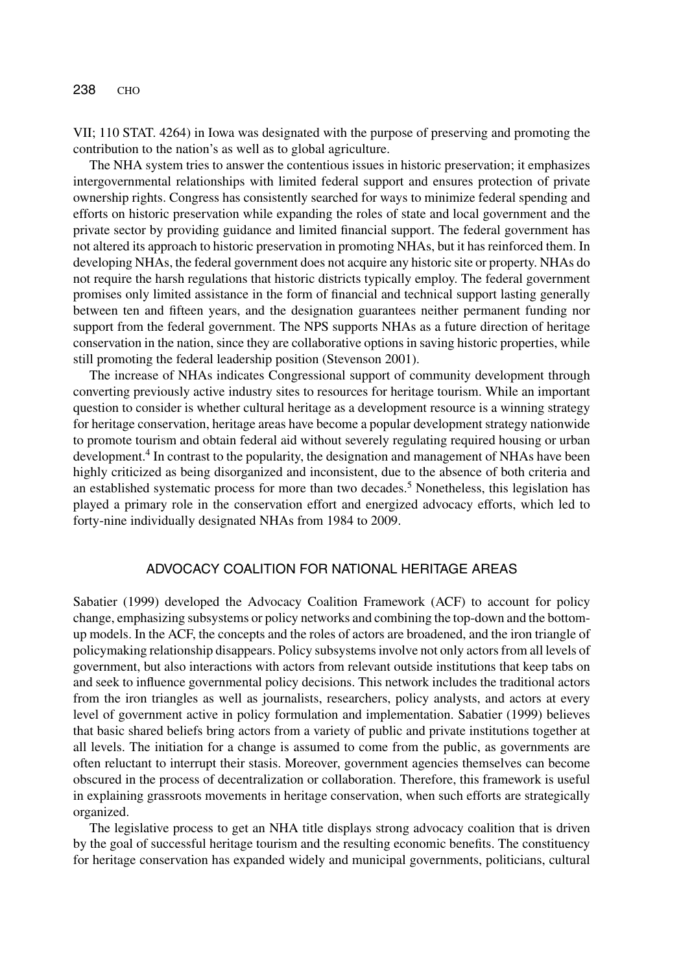VII; 110 STAT. 4264) in Iowa was designated with the purpose of preserving and promoting the contribution to the nation's as well as to global agriculture.

The NHA system tries to answer the contentious issues in historic preservation; it emphasizes intergovernmental relationships with limited federal support and ensures protection of private ownership rights. Congress has consistently searched for ways to minimize federal spending and efforts on historic preservation while expanding the roles of state and local government and the private sector by providing guidance and limited financial support. The federal government has not altered its approach to historic preservation in promoting NHAs, but it has reinforced them. In developing NHAs, the federal government does not acquire any historic site or property. NHAs do not require the harsh regulations that historic districts typically employ. The federal government promises only limited assistance in the form of financial and technical support lasting generally between ten and fifteen years, and the designation guarantees neither permanent funding nor support from the federal government. The NPS supports NHAs as a future direction of heritage conservation in the nation, since they are collaborative options in saving historic properties, while still promoting the federal leadership position (Stevenson 2001).

The increase of NHAs indicates Congressional support of community development through converting previously active industry sites to resources for heritage tourism. While an important question to consider is whether cultural heritage as a development resource is a winning strategy for heritage conservation, heritage areas have become a popular development strategy nationwide to promote tourism and obtain federal aid without severely regulating required housing or urban development.<sup>4</sup> In contrast to the popularity, the designation and management of NHAs have been highly criticized as being disorganized and inconsistent, due to the absence of both criteria and an established systematic process for more than two decades.<sup>5</sup> Nonetheless, this legislation has played a primary role in the conservation effort and energized advocacy efforts, which led to forty-nine individually designated NHAs from 1984 to 2009.

## ADVOCACY COALITION FOR NATIONAL HERITAGE AREAS

Sabatier (1999) developed the Advocacy Coalition Framework (ACF) to account for policy change, emphasizing subsystems or policy networks and combining the top-down and the bottomup models. In the ACF, the concepts and the roles of actors are broadened, and the iron triangle of policymaking relationship disappears. Policy subsystems involve not only actors from all levels of government, but also interactions with actors from relevant outside institutions that keep tabs on and seek to influence governmental policy decisions. This network includes the traditional actors from the iron triangles as well as journalists, researchers, policy analysts, and actors at every level of government active in policy formulation and implementation. Sabatier (1999) believes that basic shared beliefs bring actors from a variety of public and private institutions together at all levels. The initiation for a change is assumed to come from the public, as governments are often reluctant to interrupt their stasis. Moreover, government agencies themselves can become obscured in the process of decentralization or collaboration. Therefore, this framework is useful in explaining grassroots movements in heritage conservation, when such efforts are strategically organized.

The legislative process to get an NHA title displays strong advocacy coalition that is driven by the goal of successful heritage tourism and the resulting economic benefits. The constituency for heritage conservation has expanded widely and municipal governments, politicians, cultural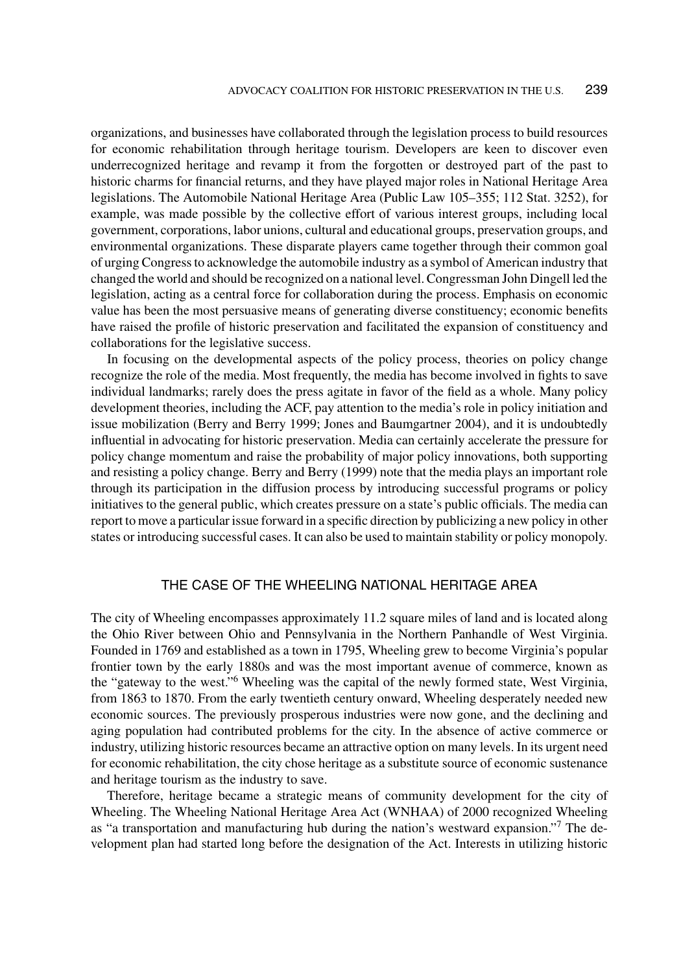organizations, and businesses have collaborated through the legislation process to build resources for economic rehabilitation through heritage tourism. Developers are keen to discover even underrecognized heritage and revamp it from the forgotten or destroyed part of the past to historic charms for financial returns, and they have played major roles in National Heritage Area legislations. The Automobile National Heritage Area (Public Law 105–355; 112 Stat. 3252), for example, was made possible by the collective effort of various interest groups, including local government, corporations, labor unions, cultural and educational groups, preservation groups, and environmental organizations. These disparate players came together through their common goal of urging Congress to acknowledge the automobile industry as a symbol of American industry that changed the world and should be recognized on a national level. Congressman John Dingell led the legislation, acting as a central force for collaboration during the process. Emphasis on economic value has been the most persuasive means of generating diverse constituency; economic benefits have raised the profile of historic preservation and facilitated the expansion of constituency and collaborations for the legislative success.

In focusing on the developmental aspects of the policy process, theories on policy change recognize the role of the media. Most frequently, the media has become involved in fights to save individual landmarks; rarely does the press agitate in favor of the field as a whole. Many policy development theories, including the ACF, pay attention to the media's role in policy initiation and issue mobilization (Berry and Berry 1999; Jones and Baumgartner 2004), and it is undoubtedly influential in advocating for historic preservation. Media can certainly accelerate the pressure for policy change momentum and raise the probability of major policy innovations, both supporting and resisting a policy change. Berry and Berry (1999) note that the media plays an important role through its participation in the diffusion process by introducing successful programs or policy initiatives to the general public, which creates pressure on a state's public officials. The media can report to move a particular issue forward in a specific direction by publicizing a new policy in other states or introducing successful cases. It can also be used to maintain stability or policy monopoly.

### THE CASE OF THE WHEELING NATIONAL HERITAGE AREA

The city of Wheeling encompasses approximately 11.2 square miles of land and is located along the Ohio River between Ohio and Pennsylvania in the Northern Panhandle of West Virginia. Founded in 1769 and established as a town in 1795, Wheeling grew to become Virginia's popular frontier town by the early 1880s and was the most important avenue of commerce, known as the "gateway to the west."6 Wheeling was the capital of the newly formed state, West Virginia, from 1863 to 1870. From the early twentieth century onward, Wheeling desperately needed new economic sources. The previously prosperous industries were now gone, and the declining and aging population had contributed problems for the city. In the absence of active commerce or industry, utilizing historic resources became an attractive option on many levels. In its urgent need for economic rehabilitation, the city chose heritage as a substitute source of economic sustenance and heritage tourism as the industry to save.

Therefore, heritage became a strategic means of community development for the city of Wheeling. The Wheeling National Heritage Area Act (WNHAA) of 2000 recognized Wheeling as "a transportation and manufacturing hub during the nation's westward expansion."<sup>7</sup> The development plan had started long before the designation of the Act. Interests in utilizing historic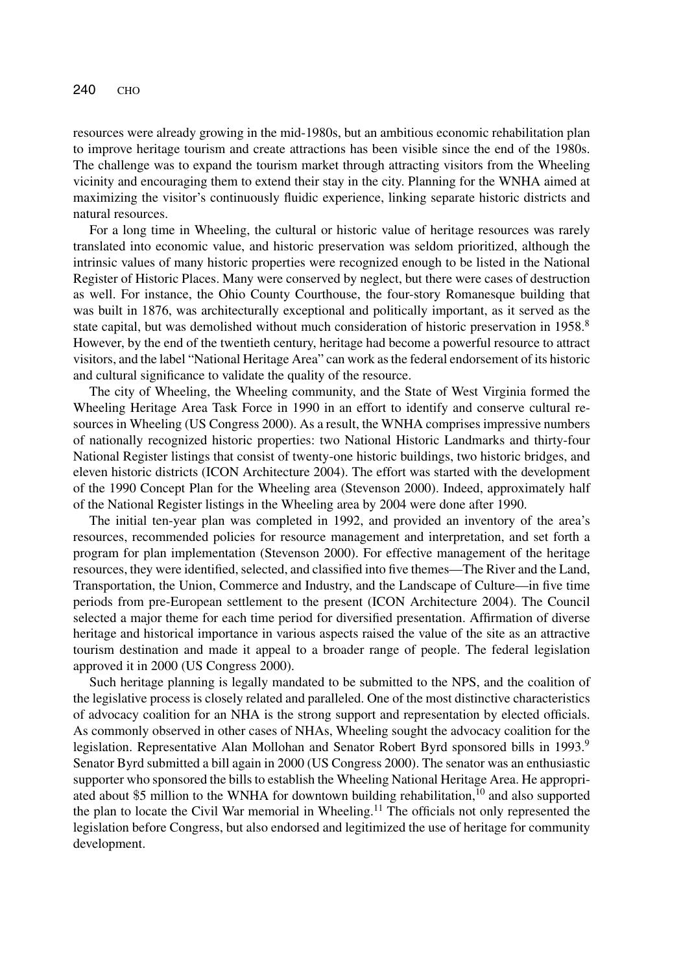resources were already growing in the mid-1980s, but an ambitious economic rehabilitation plan to improve heritage tourism and create attractions has been visible since the end of the 1980s. The challenge was to expand the tourism market through attracting visitors from the Wheeling vicinity and encouraging them to extend their stay in the city. Planning for the WNHA aimed at maximizing the visitor's continuously fluidic experience, linking separate historic districts and natural resources.

For a long time in Wheeling, the cultural or historic value of heritage resources was rarely translated into economic value, and historic preservation was seldom prioritized, although the intrinsic values of many historic properties were recognized enough to be listed in the National Register of Historic Places. Many were conserved by neglect, but there were cases of destruction as well. For instance, the Ohio County Courthouse, the four-story Romanesque building that was built in 1876, was architecturally exceptional and politically important, as it served as the state capital, but was demolished without much consideration of historic preservation in 1958.<sup>8</sup> However, by the end of the twentieth century, heritage had become a powerful resource to attract visitors, and the label "National Heritage Area" can work as the federal endorsement of its historic and cultural significance to validate the quality of the resource.

The city of Wheeling, the Wheeling community, and the State of West Virginia formed the Wheeling Heritage Area Task Force in 1990 in an effort to identify and conserve cultural resources in Wheeling (US Congress 2000). As a result, the WNHA comprises impressive numbers of nationally recognized historic properties: two National Historic Landmarks and thirty-four National Register listings that consist of twenty-one historic buildings, two historic bridges, and eleven historic districts (ICON Architecture 2004). The effort was started with the development of the 1990 Concept Plan for the Wheeling area (Stevenson 2000). Indeed, approximately half of the National Register listings in the Wheeling area by 2004 were done after 1990.

The initial ten-year plan was completed in 1992, and provided an inventory of the area's resources, recommended policies for resource management and interpretation, and set forth a program for plan implementation (Stevenson 2000). For effective management of the heritage resources, they were identified, selected, and classified into five themes—The River and the Land, Transportation, the Union, Commerce and Industry, and the Landscape of Culture—in five time periods from pre-European settlement to the present (ICON Architecture 2004). The Council selected a major theme for each time period for diversified presentation. Affirmation of diverse heritage and historical importance in various aspects raised the value of the site as an attractive tourism destination and made it appeal to a broader range of people. The federal legislation approved it in 2000 (US Congress 2000).

Such heritage planning is legally mandated to be submitted to the NPS, and the coalition of the legislative process is closely related and paralleled. One of the most distinctive characteristics of advocacy coalition for an NHA is the strong support and representation by elected officials. As commonly observed in other cases of NHAs, Wheeling sought the advocacy coalition for the legislation. Representative Alan Mollohan and Senator Robert Byrd sponsored bills in 1993.<sup>9</sup> Senator Byrd submitted a bill again in 2000 (US Congress 2000). The senator was an enthusiastic supporter who sponsored the bills to establish the Wheeling National Heritage Area. He appropriated about \$5 million to the WNHA for downtown building rehabilitation,<sup>10</sup> and also supported the plan to locate the Civil War memorial in Wheeling.<sup>11</sup> The officials not only represented the legislation before Congress, but also endorsed and legitimized the use of heritage for community development.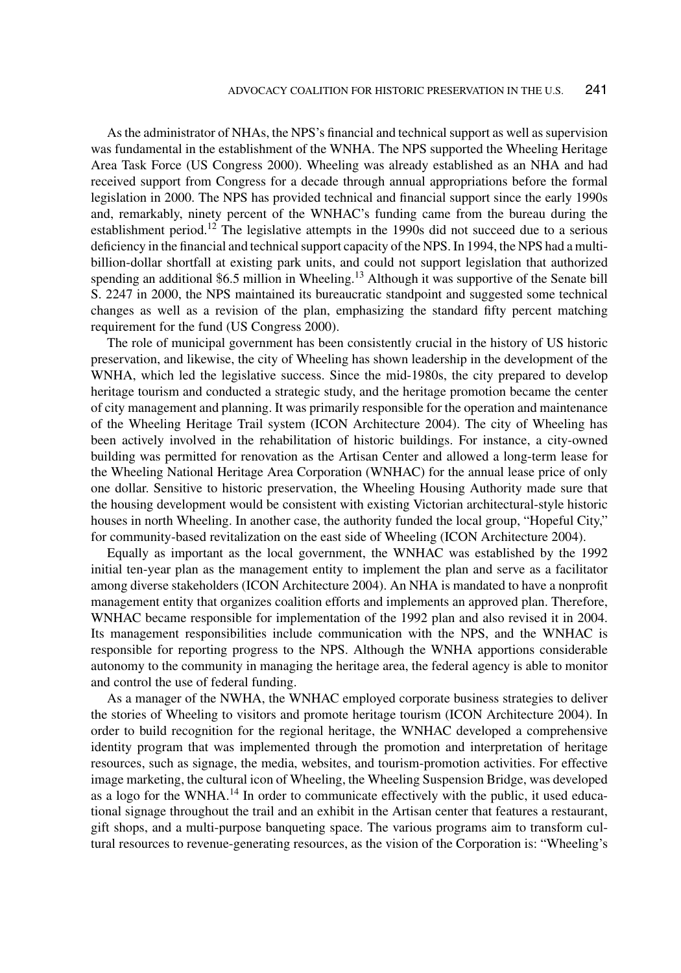As the administrator of NHAs, the NPS's financial and technical support as well as supervision was fundamental in the establishment of the WNHA. The NPS supported the Wheeling Heritage Area Task Force (US Congress 2000). Wheeling was already established as an NHA and had received support from Congress for a decade through annual appropriations before the formal legislation in 2000. The NPS has provided technical and financial support since the early 1990s and, remarkably, ninety percent of the WNHAC's funding came from the bureau during the establishment period.<sup>12</sup> The legislative attempts in the 1990s did not succeed due to a serious deficiency in the financial and technical support capacity of the NPS. In 1994, the NPS had a multibillion-dollar shortfall at existing park units, and could not support legislation that authorized spending an additional \$6.5 million in Wheeling.<sup>13</sup> Although it was supportive of the Senate bill S. 2247 in 2000, the NPS maintained its bureaucratic standpoint and suggested some technical changes as well as a revision of the plan, emphasizing the standard fifty percent matching requirement for the fund (US Congress 2000).

The role of municipal government has been consistently crucial in the history of US historic preservation, and likewise, the city of Wheeling has shown leadership in the development of the WNHA, which led the legislative success. Since the mid-1980s, the city prepared to develop heritage tourism and conducted a strategic study, and the heritage promotion became the center of city management and planning. It was primarily responsible for the operation and maintenance of the Wheeling Heritage Trail system (ICON Architecture 2004). The city of Wheeling has been actively involved in the rehabilitation of historic buildings. For instance, a city-owned building was permitted for renovation as the Artisan Center and allowed a long-term lease for the Wheeling National Heritage Area Corporation (WNHAC) for the annual lease price of only one dollar. Sensitive to historic preservation, the Wheeling Housing Authority made sure that the housing development would be consistent with existing Victorian architectural-style historic houses in north Wheeling. In another case, the authority funded the local group, "Hopeful City," for community-based revitalization on the east side of Wheeling (ICON Architecture 2004).

Equally as important as the local government, the WNHAC was established by the 1992 initial ten-year plan as the management entity to implement the plan and serve as a facilitator among diverse stakeholders (ICON Architecture 2004). An NHA is mandated to have a nonprofit management entity that organizes coalition efforts and implements an approved plan. Therefore, WNHAC became responsible for implementation of the 1992 plan and also revised it in 2004. Its management responsibilities include communication with the NPS, and the WNHAC is responsible for reporting progress to the NPS. Although the WNHA apportions considerable autonomy to the community in managing the heritage area, the federal agency is able to monitor and control the use of federal funding.

As a manager of the NWHA, the WNHAC employed corporate business strategies to deliver the stories of Wheeling to visitors and promote heritage tourism (ICON Architecture 2004). In order to build recognition for the regional heritage, the WNHAC developed a comprehensive identity program that was implemented through the promotion and interpretation of heritage resources, such as signage, the media, websites, and tourism-promotion activities. For effective image marketing, the cultural icon of Wheeling, the Wheeling Suspension Bridge, was developed as a logo for the WNHA.<sup>14</sup> In order to communicate effectively with the public, it used educational signage throughout the trail and an exhibit in the Artisan center that features a restaurant, gift shops, and a multi-purpose banqueting space. The various programs aim to transform cultural resources to revenue-generating resources, as the vision of the Corporation is: "Wheeling's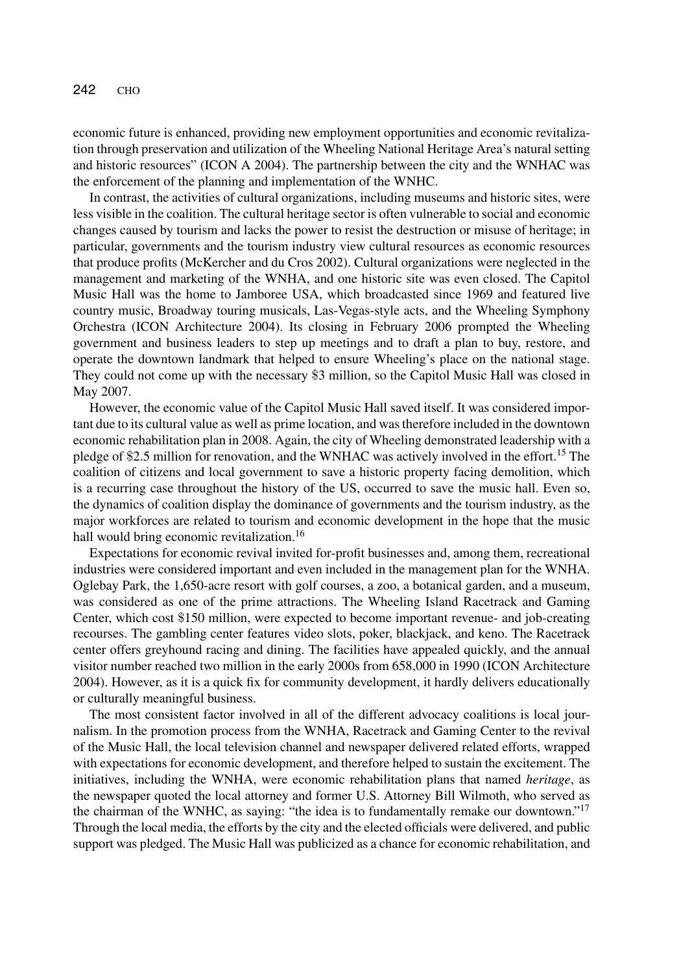economic future is enhanced, providing new employment opportunities and economic revitalization through preservation and utilization of the Wheeling National Heritage Area's natural setting and historic resources" (ICON A 2004). The partnership between the city and the WNHAC was the enforcement of the planning and implementation of the WNHC.

In contrast, the activities of cultural organizations, including museums and historic sites, were less visible in the coalition. The cultural heritage sector is often vulnerable to social and economic changes caused by tourism and lacks the power to resist the destruction or misuse of heritage; in particular, governments and the tourism industry view cultural resources as economic resources that produce profits (McKercher and du Cros 2002). Cultural organizations were neglected in the management and marketing of the WNHA, and one historic site was even closed. The Capitol Music Hall was the home to Jamboree USA, which broadcasted since 1969 and featured live country music, Broadway touring musicals, Las-Vegas-style acts, and the Wheeling Symphony Orchestra (ICON Architecture 2004). Its closing in February 2006 prompted the Wheeling government and business leaders to step up meetings and to draft a plan to buy, restore, and operate the downtown landmark that helped to ensure Wheeling's place on the national stage. They could not come up with the necessary \$3 million, so the Capitol Music Hall was closed in May 2007.

However, the economic value of the Capitol Music Hall saved itself. It was considered important due to its cultural value as well as prime location, and was therefore included in the downtown economic rehabilitation plan in 2008. Again, the city of Wheeling demonstrated leadership with a pledge of \$2.5 million for renovation, and the WNHAC was actively involved in the effort.<sup>15</sup> The coalition of citizens and local government to save a historic property facing demolition, which is a recurring case throughout the history of the US, occurred to save the music hall. Even so, the dynamics of coalition display the dominance of governments and the tourism industry, as the major workforces are related to tourism and economic development in the hope that the music hall would bring economic revitalization.<sup>16</sup>

Expectations for economic revival invited for-profit businesses and, among them, recreational industries were considered important and even included in the management plan for the WNHA. Oglebay Park, the 1,650-acre resort with golf courses, a zoo, a botanical garden, and a museum, was considered as one of the prime attractions. The Wheeling Island Racetrack and Gaming Center, which cost \$150 million, were expected to become important revenue- and job-creating recourses. The gambling center features video slots, poker, blackjack, and keno. The Racetrack center offers greyhound racing and dining. The facilities have appealed quickly, and the annual visitor number reached two million in the early 2000s from 658,000 in 1990 (ICON Architecture 2004). However, as it is a quick fix for community development, it hardly delivers educationally or culturally meaningful business.

The most consistent factor involved in all of the different advocacy coalitions is local journalism. In the promotion process from the WNHA, Racetrack and Gaming Center to the revival of the Music Hall, the local television channel and newspaper delivered related efforts, wrapped with expectations for economic development, and therefore helped to sustain the excitement. The initiatives, including the WNHA, were economic rehabilitation plans that named *heritage*, as the newspaper quoted the local attorney and former U.S. Attorney Bill Wilmoth, who served as the chairman of the WNHC, as saying: "the idea is to fundamentally remake our downtown."<sup>17</sup> Through the local media, the efforts by the city and the elected officials were delivered, and public support was pledged. The Music Hall was publicized as a chance for economic rehabilitation, and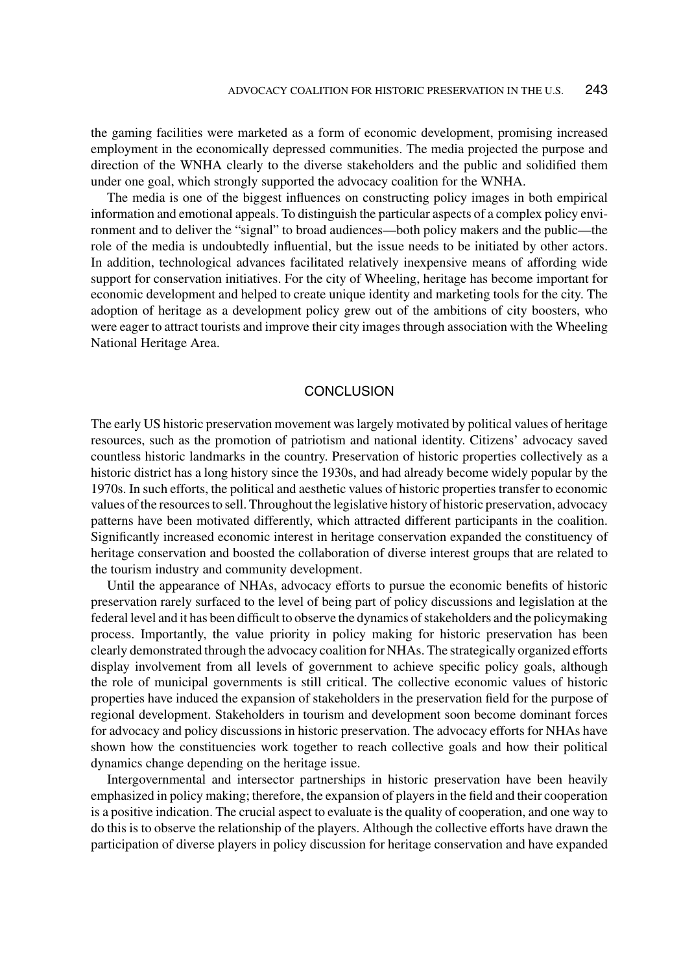the gaming facilities were marketed as a form of economic development, promising increased employment in the economically depressed communities. The media projected the purpose and direction of the WNHA clearly to the diverse stakeholders and the public and solidified them under one goal, which strongly supported the advocacy coalition for the WNHA.

The media is one of the biggest influences on constructing policy images in both empirical information and emotional appeals. To distinguish the particular aspects of a complex policy environment and to deliver the "signal" to broad audiences—both policy makers and the public—the role of the media is undoubtedly influential, but the issue needs to be initiated by other actors. In addition, technological advances facilitated relatively inexpensive means of affording wide support for conservation initiatives. For the city of Wheeling, heritage has become important for economic development and helped to create unique identity and marketing tools for the city. The adoption of heritage as a development policy grew out of the ambitions of city boosters, who were eager to attract tourists and improve their city images through association with the Wheeling National Heritage Area.

## **CONCLUSION**

The early US historic preservation movement was largely motivated by political values of heritage resources, such as the promotion of patriotism and national identity. Citizens' advocacy saved countless historic landmarks in the country. Preservation of historic properties collectively as a historic district has a long history since the 1930s, and had already become widely popular by the 1970s. In such efforts, the political and aesthetic values of historic properties transfer to economic values of the resources to sell. Throughout the legislative history of historic preservation, advocacy patterns have been motivated differently, which attracted different participants in the coalition. Significantly increased economic interest in heritage conservation expanded the constituency of heritage conservation and boosted the collaboration of diverse interest groups that are related to the tourism industry and community development.

Until the appearance of NHAs, advocacy efforts to pursue the economic benefits of historic preservation rarely surfaced to the level of being part of policy discussions and legislation at the federal level and it has been difficult to observe the dynamics of stakeholders and the policymaking process. Importantly, the value priority in policy making for historic preservation has been clearly demonstrated through the advocacy coalition for NHAs. The strategically organized efforts display involvement from all levels of government to achieve specific policy goals, although the role of municipal governments is still critical. The collective economic values of historic properties have induced the expansion of stakeholders in the preservation field for the purpose of regional development. Stakeholders in tourism and development soon become dominant forces for advocacy and policy discussions in historic preservation. The advocacy efforts for NHAs have shown how the constituencies work together to reach collective goals and how their political dynamics change depending on the heritage issue.

Intergovernmental and intersector partnerships in historic preservation have been heavily emphasized in policy making; therefore, the expansion of players in the field and their cooperation is a positive indication. The crucial aspect to evaluate is the quality of cooperation, and one way to do this is to observe the relationship of the players. Although the collective efforts have drawn the participation of diverse players in policy discussion for heritage conservation and have expanded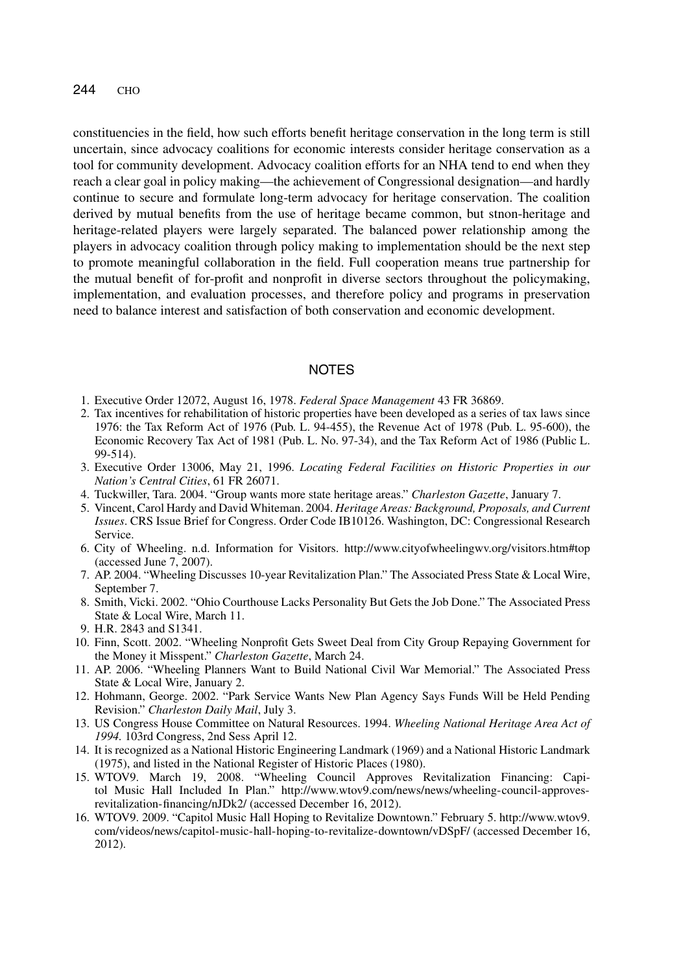# 244 CHO

constituencies in the field, how such efforts benefit heritage conservation in the long term is still uncertain, since advocacy coalitions for economic interests consider heritage conservation as a tool for community development. Advocacy coalition efforts for an NHA tend to end when they reach a clear goal in policy making—the achievement of Congressional designation—and hardly continue to secure and formulate long-term advocacy for heritage conservation. The coalition derived by mutual benefits from the use of heritage became common, but stnon-heritage and heritage-related players were largely separated. The balanced power relationship among the players in advocacy coalition through policy making to implementation should be the next step to promote meaningful collaboration in the field. Full cooperation means true partnership for the mutual benefit of for-profit and nonprofit in diverse sectors throughout the policymaking, implementation, and evaluation processes, and therefore policy and programs in preservation need to balance interest and satisfaction of both conservation and economic development.

#### NOTES

- 1. Executive Order 12072, August 16, 1978. *Federal Space Management* 43 FR 36869.
- 2. Tax incentives for rehabilitation of historic properties have been developed as a series of tax laws since 1976: the Tax Reform Act of 1976 (Pub. L. 94-455), the Revenue Act of 1978 (Pub. L. 95-600), the Economic Recovery Tax Act of 1981 (Pub. L. No. 97-34), and the Tax Reform Act of 1986 (Public L. 99-514).
- 3. Executive Order 13006, May 21, 1996. *Locating Federal Facilities on Historic Properties in our Nation's Central Cities*, 61 FR 26071.
- 4. Tuckwiller, Tara. 2004. "Group wants more state heritage areas." *Charleston Gazette*, January 7.
- 5. Vincent, Carol Hardy and David Whiteman. 2004. *Heritage Areas: Background, Proposals, and Current Issues*. CRS Issue Brief for Congress. Order Code IB10126. Washington, DC: Congressional Research Service.
- 6. City of Wheeling. n.d. Information for Visitors. http://www.cityofwheelingwv.org/visitors.htm#top (accessed June 7, 2007).
- 7. AP. 2004. "Wheeling Discusses 10-year Revitalization Plan." The Associated Press State & Local Wire, September 7.
- 8. Smith, Vicki. 2002. "Ohio Courthouse Lacks Personality But Gets the Job Done." The Associated Press State & Local Wire, March 11.
- 9. H.R. 2843 and S1341.
- 10. Finn, Scott. 2002. "Wheeling Nonprofit Gets Sweet Deal from City Group Repaying Government for the Money it Misspent." *Charleston Gazette*, March 24.
- 11. AP. 2006. "Wheeling Planners Want to Build National Civil War Memorial." The Associated Press State & Local Wire, January 2.
- 12. Hohmann, George. 2002. "Park Service Wants New Plan Agency Says Funds Will be Held Pending Revision." *Charleston Daily Mail*, July 3.
- 13. US Congress House Committee on Natural Resources. 1994. *Wheeling National Heritage Area Act of 1994.* 103rd Congress, 2nd Sess April 12.
- 14. It is recognized as a National Historic Engineering Landmark (1969) and a National Historic Landmark (1975), and listed in the National Register of Historic Places (1980).
- 15. WTOV9. March 19, 2008. "Wheeling Council Approves Revitalization Financing: Capitol Music Hall Included In Plan." http://www.wtov9.com/news/news/wheeling-council-approvesrevitalization-financing/nJDk2/ (accessed December 16, 2012).
- 16. WTOV9. 2009. "Capitol Music Hall Hoping to Revitalize Downtown." February 5. http://www.wtov9. com/videos/news/capitol-music-hall-hoping-to-revitalize-downtown/vDSpF/ (accessed December 16, 2012).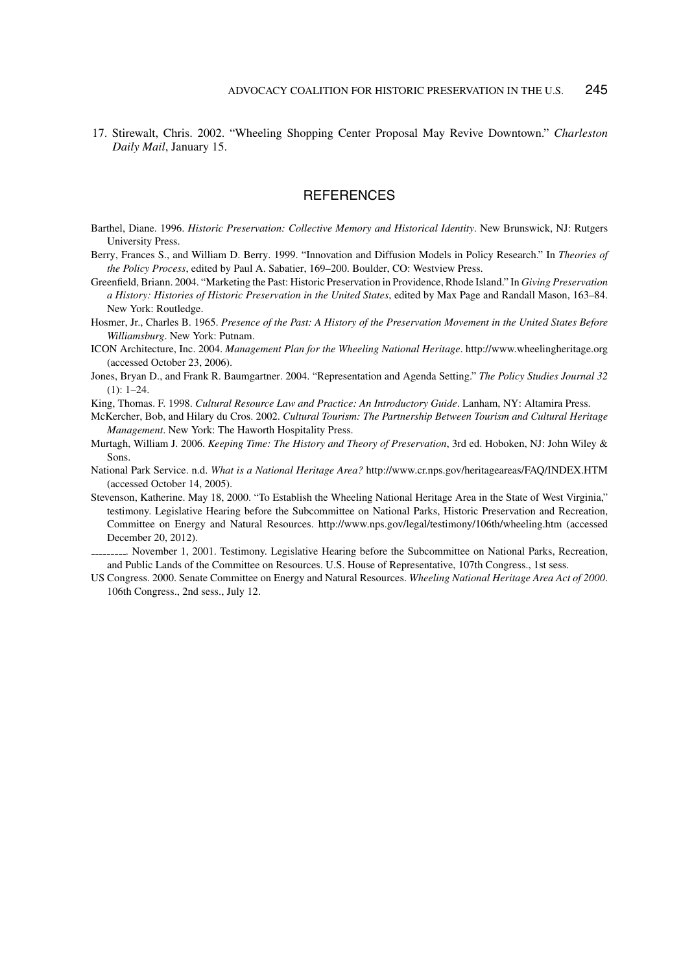17. Stirewalt, Chris. 2002. "Wheeling Shopping Center Proposal May Revive Downtown." *Charleston Daily Mail*, January 15.

## **REFERENCES**

- Barthel, Diane. 1996. *Historic Preservation: Collective Memory and Historical Identity*. New Brunswick, NJ: Rutgers University Press.
- Berry, Frances S., and William D. Berry. 1999. "Innovation and Diffusion Models in Policy Research." In *Theories of the Policy Process*, edited by Paul A. Sabatier, 169–200. Boulder, CO: Westview Press.

Greenfield, Briann. 2004. "Marketing the Past: Historic Preservation in Providence, Rhode Island." In *Giving Preservation a History: Histories of Historic Preservation in the United States*, edited by Max Page and Randall Mason, 163–84. New York: Routledge.

Hosmer, Jr., Charles B. 1965. *Presence of the Past: A History of the Preservation Movement in the United States Before Williamsburg*. New York: Putnam.

ICON Architecture, Inc. 2004. *Management Plan for the Wheeling National Heritage*. http://www.wheelingheritage.org (accessed October 23, 2006).

Jones, Bryan D., and Frank R. Baumgartner. 2004. "Representation and Agenda Setting." *The Policy Studies Journal 32* (1): 1–24.

King, Thomas. F. 1998. *Cultural Resource Law and Practice: An Introductory Guide*. Lanham, NY: Altamira Press.

McKercher, Bob, and Hilary du Cros. 2002. *Cultural Tourism: The Partnership Between Tourism and Cultural Heritage Management*. New York: The Haworth Hospitality Press.

Murtagh, William J. 2006. *Keeping Time: The History and Theory of Preservation*, 3rd ed. Hoboken, NJ: John Wiley & Sons.

National Park Service. n.d. *What is a National Heritage Area?* http://www.cr.nps.gov/heritageareas/FAQ/INDEX.HTM (accessed October 14, 2005).

Stevenson, Katherine. May 18, 2000. "To Establish the Wheeling National Heritage Area in the State of West Virginia," testimony. Legislative Hearing before the Subcommittee on National Parks, Historic Preservation and Recreation, Committee on Energy and Natural Resources. http://www.nps.gov/legal/testimony/106th/wheeling.htm (accessed December 20, 2012).

. November 1, 2001. Testimony. Legislative Hearing before the Subcommittee on National Parks, Recreation, and Public Lands of the Committee on Resources. U.S. House of Representative, 107th Congress., 1st sess.

US Congress. 2000. Senate Committee on Energy and Natural Resources. *Wheeling National Heritage Area Act of 2000*. 106th Congress., 2nd sess., July 12.